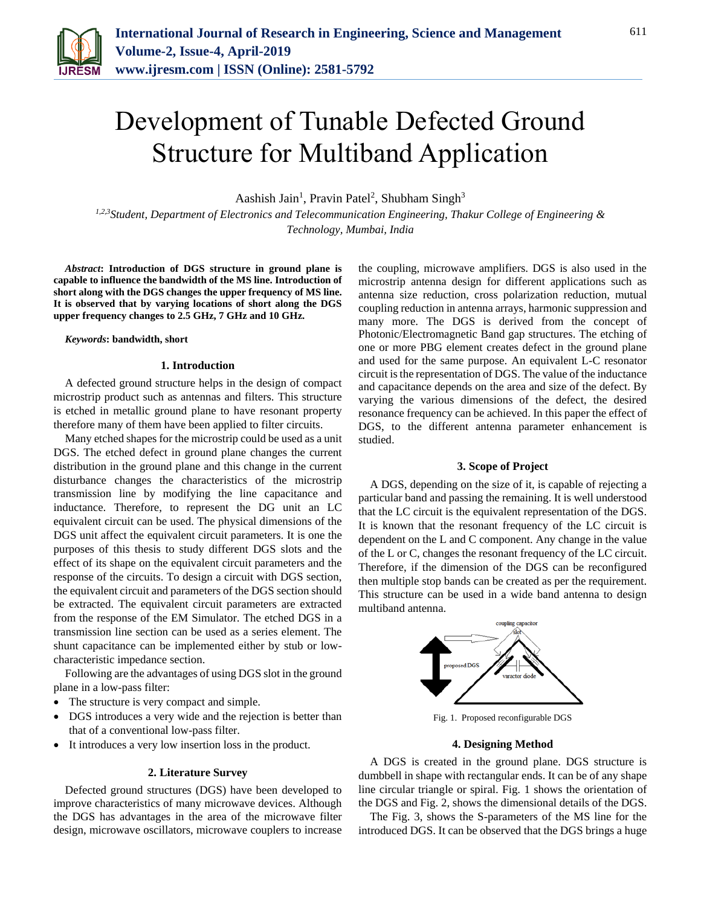

# Development of Tunable Defected Ground Structure for Multiband Application

Aashish Jain<sup>1</sup>, Pravin Patel<sup>2</sup>, Shubham Singh<sup>3</sup>

*1,2,3Student, Department of Electronics and Telecommunication Engineering, Thakur College of Engineering & Technology, Mumbai, India*

*Abstract***: Introduction of DGS structure in ground plane is capable to influence the bandwidth of the MS line. Introduction of short along with the DGS changes the upper frequency of MS line. It is observed that by varying locations of short along the DGS upper frequency changes to 2.5 GHz, 7 GHz and 10 GHz.**

#### *Keywords***: bandwidth, short**

## **1. Introduction**

A defected ground structure helps in the design of compact microstrip product such as antennas and filters. This structure is etched in metallic ground plane to have resonant property therefore many of them have been applied to filter circuits.

Many etched shapes for the microstrip could be used as a unit DGS. The etched defect in ground plane changes the current distribution in the ground plane and this change in the current disturbance changes the characteristics of the microstrip transmission line by modifying the line capacitance and inductance. Therefore, to represent the DG unit an LC equivalent circuit can be used. The physical dimensions of the DGS unit affect the equivalent circuit parameters. It is one the purposes of this thesis to study different DGS slots and the effect of its shape on the equivalent circuit parameters and the response of the circuits. To design a circuit with DGS section, the equivalent circuit and parameters of the DGS section should be extracted. The equivalent circuit parameters are extracted from the response of the EM Simulator. The etched DGS in a transmission line section can be used as a series element. The shunt capacitance can be implemented either by stub or lowcharacteristic impedance section.

Following are the advantages of using DGS slot in the ground plane in a low-pass filter:

- The structure is very compact and simple.
- DGS introduces a very wide and the rejection is better than that of a conventional low-pass filter.
- It introduces a very low insertion loss in the product.

#### **2. Literature Survey**

Defected ground structures (DGS) have been developed to improve characteristics of many microwave devices. Although the DGS has advantages in the area of the microwave filter design, microwave oscillators, microwave couplers to increase the coupling, microwave amplifiers. DGS is also used in the microstrip antenna design for different applications such as antenna size reduction, cross polarization reduction, mutual coupling reduction in antenna arrays, harmonic suppression and many more. The DGS is derived from the concept of Photonic/Electromagnetic Band gap structures. The etching of one or more PBG element creates defect in the ground plane and used for the same purpose. An equivalent L-C resonator circuit is the representation of DGS. The value of the inductance and capacitance depends on the area and size of the defect. By varying the various dimensions of the defect, the desired resonance frequency can be achieved. In this paper the effect of DGS, to the different antenna parameter enhancement is studied.

### **3. Scope of Project**

A DGS, depending on the size of it, is capable of rejecting a particular band and passing the remaining. It is well understood that the LC circuit is the equivalent representation of the DGS. It is known that the resonant frequency of the LC circuit is dependent on the L and C component. Any change in the value of the L or C, changes the resonant frequency of the LC circuit. Therefore, if the dimension of the DGS can be reconfigured then multiple stop bands can be created as per the requirement. This structure can be used in a wide band antenna to design multiband antenna.



Fig. 1. Proposed reconfigurable DGS

#### **4. Designing Method**

A DGS is created in the ground plane. DGS structure is dumbbell in shape with rectangular ends. It can be of any shape line circular triangle or spiral. Fig. 1 shows the orientation of the DGS and Fig. 2, shows the dimensional details of the DGS.

The Fig. 3, shows the S-parameters of the MS line for the introduced DGS. It can be observed that the DGS brings a huge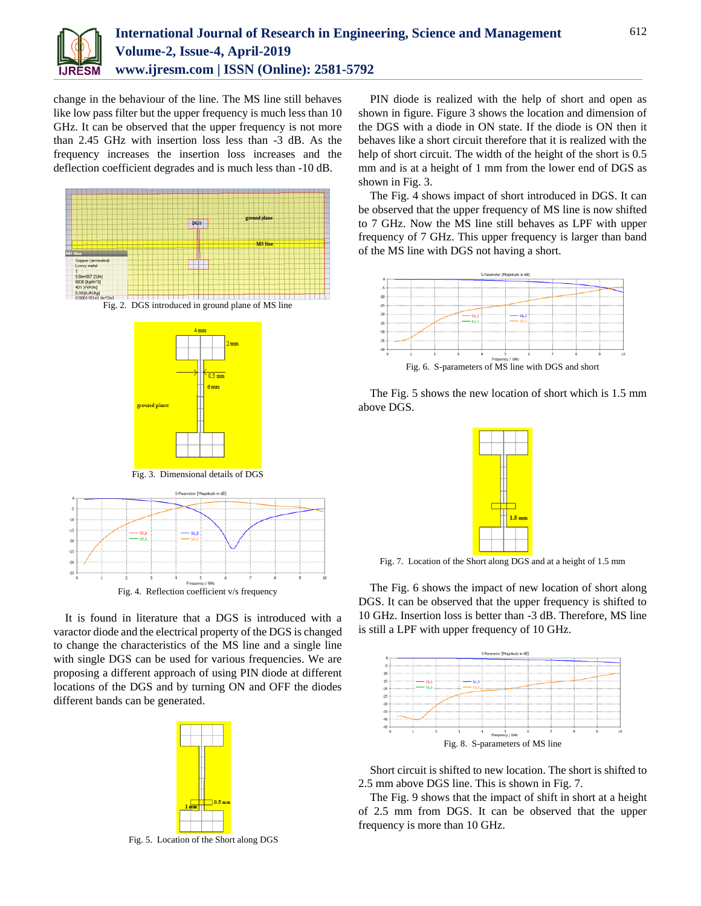

change in the behaviour of the line. The MS line still behaves like low pass filter but the upper frequency is much less than 10 GHz. It can be observed that the upper frequency is not more than 2.45 GHz with insertion loss less than -3 dB. As the frequency increases the insertion loss increases and the deflection coefficient degrades and is much less than -10 dB.





Fig. 3. Dimensional details of DGS



It is found in literature that a DGS is introduced with a varactor diode and the electrical property of the DGS is changed to change the characteristics of the MS line and a single line with single DGS can be used for various frequencies. We are proposing a different approach of using PIN diode at different locations of the DGS and by turning ON and OFF the diodes different bands can be generated.



Fig. 5. Location of the Short along DGS

PIN diode is realized with the help of short and open as shown in figure. Figure 3 shows the location and dimension of the DGS with a diode in ON state. If the diode is ON then it behaves like a short circuit therefore that it is realized with the help of short circuit. The width of the height of the short is 0.5 mm and is at a height of 1 mm from the lower end of DGS as shown in Fig. 3.

The Fig. 4 shows impact of short introduced in DGS. It can be observed that the upper frequency of MS line is now shifted to 7 GHz. Now the MS line still behaves as LPF with upper frequency of 7 GHz. This upper frequency is larger than band of the MS line with DGS not having a short.



The Fig. 5 shows the new location of short which is 1.5 mm above DGS.



Fig. 7. Location of the Short along DGS and at a height of 1.5 mm

The Fig. 6 shows the impact of new location of short along DGS. It can be observed that the upper frequency is shifted to 10 GHz. Insertion loss is better than -3 dB. Therefore, MS line is still a LPF with upper frequency of 10 GHz.



Short circuit is shifted to new location. The short is shifted to 2.5 mm above DGS line. This is shown in Fig. 7.

The Fig. 9 shows that the impact of shift in short at a height of 2.5 mm from DGS. It can be observed that the upper frequency is more than 10 GHz.